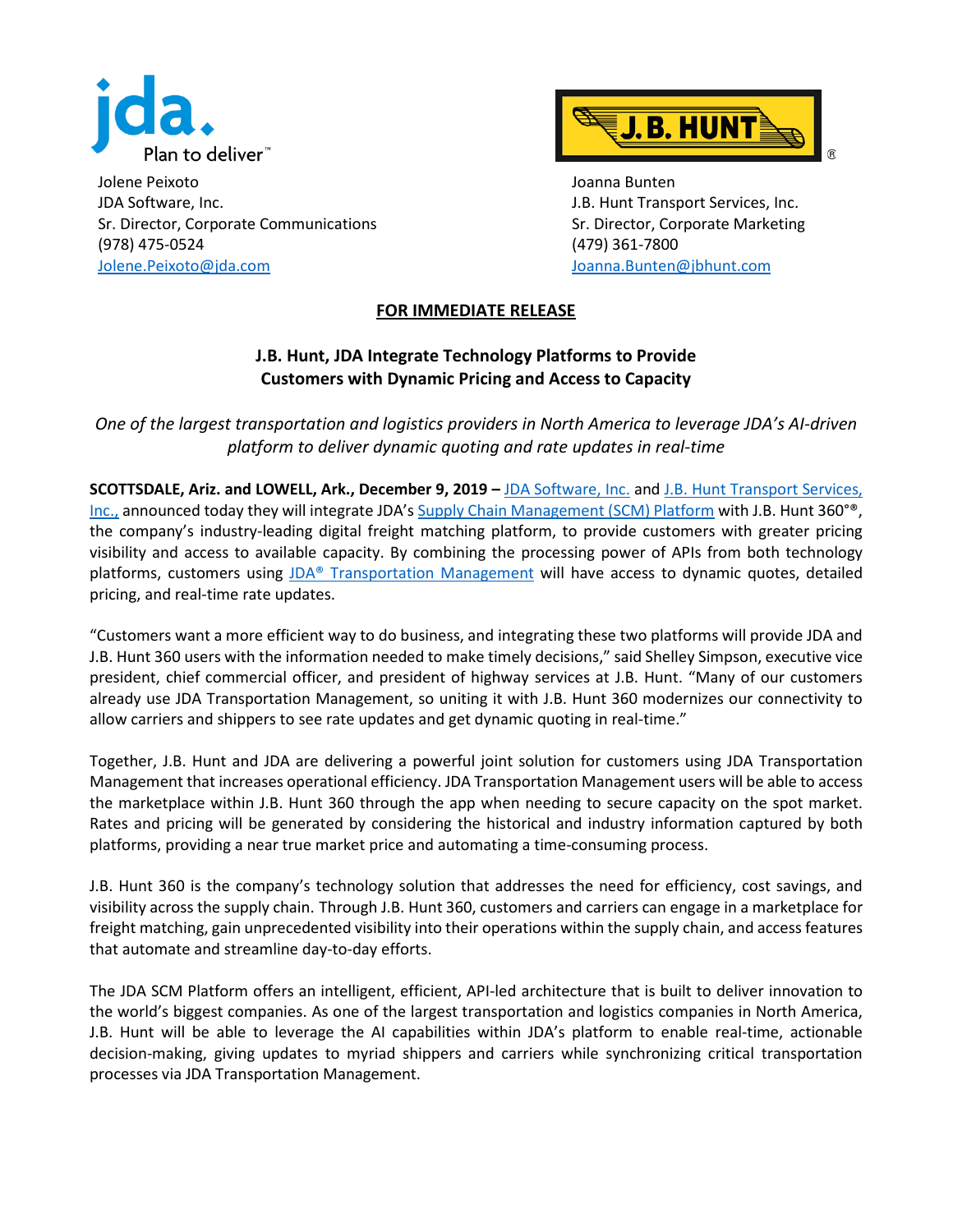

Jolene Peixoto JDA Software, Inc. Sr. Director, Corporate Communications (978) 475-0524 [Jolene.Peixoto@jda.com](mailto:Jolene.Peixoto@jda.com)



Joanna Bunten J.B. Hunt Transport Services, Inc. Sr. Director, Corporate Marketing (479) 361-7800 [Joanna.Bunten@jbhunt.com](mailto:Joanna.Bunten@jbhunt.com)

## **FOR IMMEDIATE RELEASE**

## **J.B. Hunt, JDA Integrate Technology Platforms to Provide Customers with Dynamic Pricing and Access to Capacity**

*One of the largest transportation and logistics providers in North America to leverage JDA's AI-driven platform to deliver dynamic quoting and rate updates in real-time*

**SCOTTSDALE, Ariz. and LOWELL, Ark., December 9, 2019 –** [JDA Software, Inc.](http://www.jda.com/) and [J.B. Hunt Transport Services,](https://www.jbhunt.com/)  [Inc.,](https://www.jbhunt.com/) announced today they will integrate JDA'[s Supply Chain Management \(SCM\) Platform](https://jda.com/platform) with J.B. Hunt 360°®, the company's industry-leading digital freight matching platform, to provide customers with greater pricing visibility and access to available capacity. By combining the processing power of APIs from both technology platforms, customers using [JDA® Transportation Management](https://jda.com/solutions/manufacturing-distribution-solutions/intelligent-fulfillment/transportation-management) will have access to dynamic quotes, detailed pricing, and real-time rate updates.

"Customers want a more efficient way to do business, and integrating these two platforms will provide JDA and J.B. Hunt 360 users with the information needed to make timely decisions," said Shelley Simpson, executive vice president, chief commercial officer, and president of highway services at J.B. Hunt. "Many of our customers already use JDA Transportation Management, so uniting it with J.B. Hunt 360 modernizes our connectivity to allow carriers and shippers to see rate updates and get dynamic quoting in real-time."

Together, J.B. Hunt and JDA are delivering a powerful joint solution for customers using JDA Transportation Management that increases operational efficiency. JDA Transportation Management users will be able to access the marketplace within J.B. Hunt 360 through the app when needing to secure capacity on the spot market. Rates and pricing will be generated by considering the historical and industry information captured by both platforms, providing a near true market price and automating a time-consuming process.

J.B. Hunt 360 is the company's technology solution that addresses the need for efficiency, cost savings, and visibility across the supply chain. Through J.B. Hunt 360, customers and carriers can engage in a marketplace for freight matching, gain unprecedented visibility into their operations within the supply chain, and access features that automate and streamline day-to-day efforts.

The JDA SCM Platform offers an intelligent, efficient, API-led architecture that is built to deliver innovation to the world's biggest companies. As one of the largest transportation and logistics companies in North America, J.B. Hunt will be able to leverage the AI capabilities within JDA's platform to enable real-time, actionable decision-making, giving updates to myriad shippers and carriers while synchronizing critical transportation processes via JDA Transportation Management.